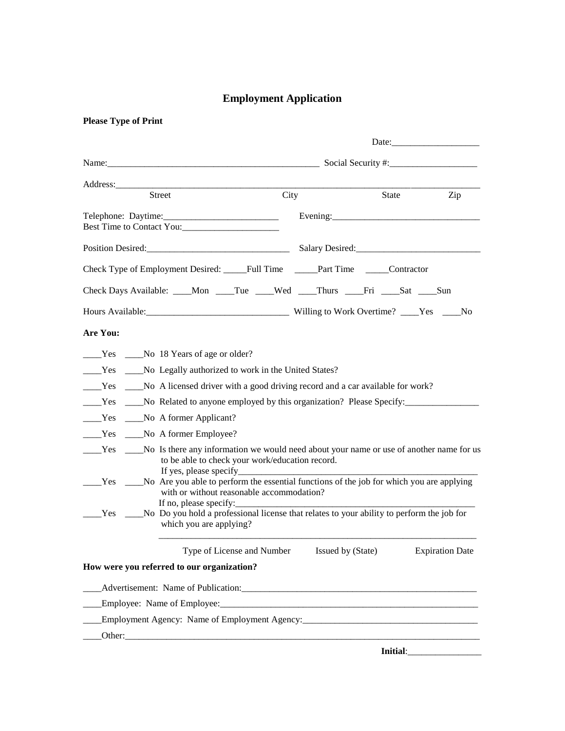# **Employment Application**

| Street                                                                                                                                                            | City |                   | State | Zip                             |
|-------------------------------------------------------------------------------------------------------------------------------------------------------------------|------|-------------------|-------|---------------------------------|
|                                                                                                                                                                   |      |                   |       | Evening: $\frac{1}{2}$ Evening: |
| Best Time to Contact You:                                                                                                                                         |      |                   |       |                                 |
| Position Desired: Salary Desired: Salary Desired:                                                                                                                 |      |                   |       |                                 |
| Check Type of Employment Desired: Full Time Part Time Contractor                                                                                                  |      |                   |       |                                 |
| Check Days Available: ____Mon ____Tue ____Wed ____Thurs ____Fri ____Sat ____Sun                                                                                   |      |                   |       |                                 |
| Hours Available: No North Discover Milling to Work Overtime? Nes No                                                                                               |      |                   |       |                                 |
| Are You:                                                                                                                                                          |      |                   |       |                                 |
| ______Yes _______No 18 Years of age or older?                                                                                                                     |      |                   |       |                                 |
| ____Yes ____No Legally authorized to work in the United States?                                                                                                   |      |                   |       |                                 |
|                                                                                                                                                                   |      |                   |       |                                 |
| ______Yes ______No Related to anyone employed by this organization? Please Specify:________________                                                               |      |                   |       |                                 |
| _____Yes _____No A former Applicant?                                                                                                                              |      |                   |       |                                 |
| No A former Employee?<br>$\rule{1em}{0.15mm}$ Yes                                                                                                                 |      |                   |       |                                 |
| Tes _______No Is there any information we would need about your name or use of another name for us<br>to be able to check your work/education record.             |      |                   |       |                                 |
| Tes _______No Are you able to perform the essential functions of the job for which you are applying<br>with or without reasonable accommodation?                  |      |                   |       |                                 |
| If no, please specify:<br>The Test Comparent No Do you hold a professional license that relates to your ability to perform the job for<br>which you are applying? |      |                   |       |                                 |
| Type of License and Number                                                                                                                                        |      | Issued by (State) |       | <b>Expiration Date</b>          |
| How were you referred to our organization?                                                                                                                        |      |                   |       |                                 |
|                                                                                                                                                                   |      |                   |       |                                 |
| Employee: Name of Employee:                                                                                                                                       |      |                   |       |                                 |
| Employment Agency: Name of Employment Agency: ___________________________________                                                                                 |      |                   |       |                                 |
| Other:                                                                                                                                                            |      |                   |       |                                 |

**Please Type of Print** 

**Initial:\_\_\_\_\_\_\_\_\_\_\_\_\_\_\_\_\_\_\_\_\_**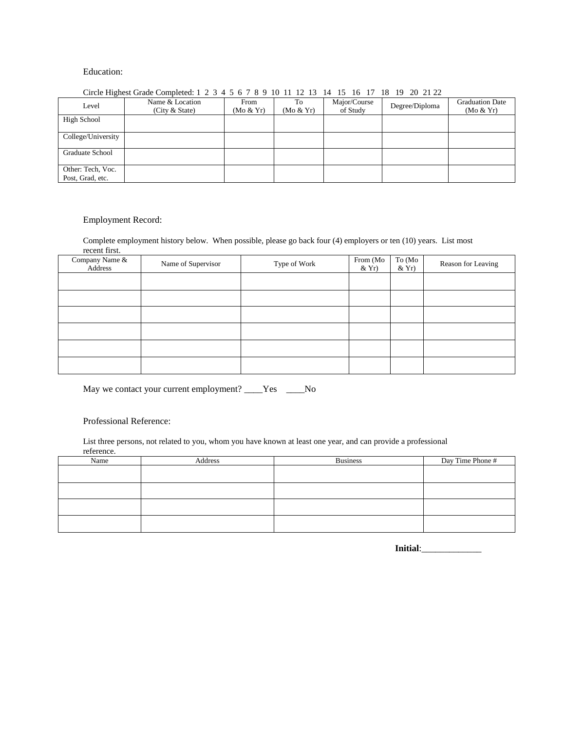### Education:

| CHE EXPLOSE CHANGE COMPLETED. I $\angle$ $\angle$ $\rightarrow$ $\rightarrow$ $\angle$ 0 $\angle$ 0 $\angle$ 10 11 12 13 14<br>1J<br>$\mathbf{U}$<br>$10$ $17$ $20$ $21$ $22$ |                                   |                   |                 |                          |                |                                     |
|-------------------------------------------------------------------------------------------------------------------------------------------------------------------------------|-----------------------------------|-------------------|-----------------|--------------------------|----------------|-------------------------------------|
| Level                                                                                                                                                                         | Name & Location<br>(City & State) | From<br>(Mo & Yr) | Тo<br>(Mo & Yr) | Major/Course<br>of Study | Degree/Diploma | <b>Graduation Date</b><br>(Mo & Yr) |
| High School                                                                                                                                                                   |                                   |                   |                 |                          |                |                                     |
| College/University                                                                                                                                                            |                                   |                   |                 |                          |                |                                     |
| Graduate School                                                                                                                                                               |                                   |                   |                 |                          |                |                                     |
| Other: Tech, Voc.<br>Post, Grad, etc.                                                                                                                                         |                                   |                   |                 |                          |                |                                     |

## Circle Highest Grade Completed: 1 2 3 4 5 6 7 8 9 10 11 12 13 14 15 16 17 18 19 20 21 22

#### Employment Record:

Complete employment history below. When possible, please go back four (4) employers or ten (10) years. List most recent first.

| Company Name &<br>Address | Name of Supervisor | Type of Work | From (Mo<br>$&\mathrm{Yr}$ | To (Mo<br>$&\mathrm{Yr}$ | Reason for Leaving |
|---------------------------|--------------------|--------------|----------------------------|--------------------------|--------------------|
|                           |                    |              |                            |                          |                    |
|                           |                    |              |                            |                          |                    |
|                           |                    |              |                            |                          |                    |
|                           |                    |              |                            |                          |                    |
|                           |                    |              |                            |                          |                    |
|                           |                    |              |                            |                          |                    |

May we contact your current employment? \_\_\_\_Yes \_\_\_\_No

## Professional Reference:

List three persons, not related to you, whom you have known at least one year, and can provide a professional reference.

| TURRICHO.<br>Name | Address | <b>Business</b> | Day Time Phone # |
|-------------------|---------|-----------------|------------------|
|                   |         |                 |                  |
|                   |         |                 |                  |
|                   |         |                 |                  |
|                   |         |                 |                  |
|                   |         |                 |                  |

**Initial**:\_\_\_\_\_\_\_\_\_\_\_\_\_